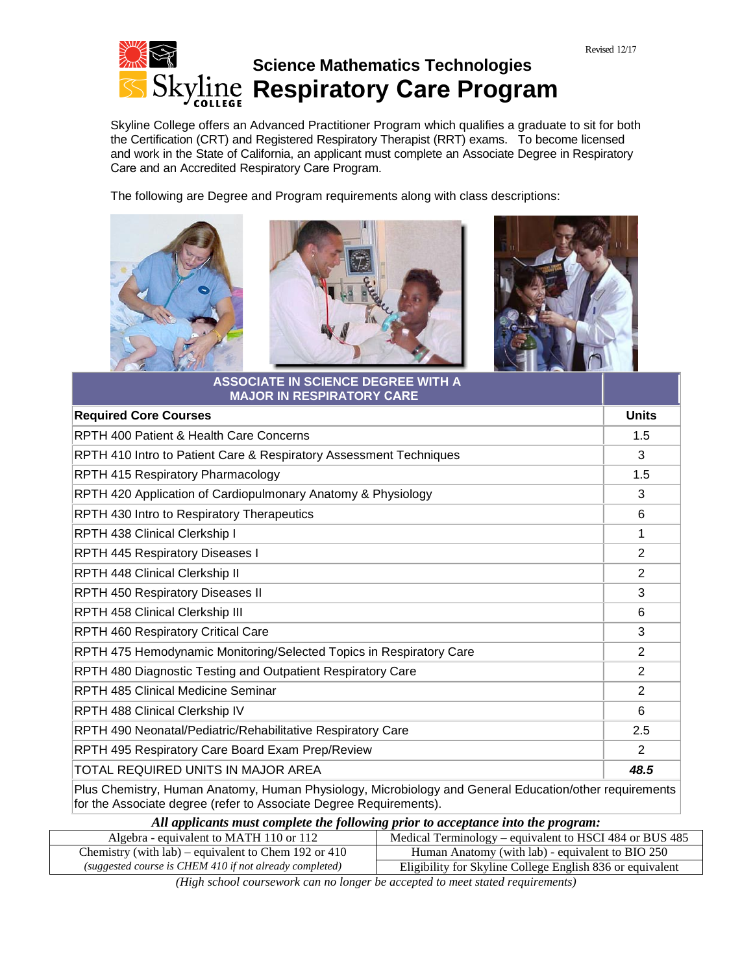

Skyline College offers an Advanced Practitioner Program which qualifies a graduate to sit for both the Certification (CRT) and Registered Respiratory Therapist (RRT) exams. To become licensed and work in the State of California, an applicant must complete an Associate Degree in Respiratory Care and an Accredited Respiratory Care Program.

The following are Degree and Program requirements along with class descriptions:







| <b>MAJOR IN RESPIRATORY CARE</b>                                    |                |
|---------------------------------------------------------------------|----------------|
| <b>Required Core Courses</b>                                        | <b>Units</b>   |
| RPTH 400 Patient & Health Care Concerns                             | 1.5            |
| RPTH 410 Intro to Patient Care & Respiratory Assessment Techniques  | 3              |
| RPTH 415 Respiratory Pharmacology                                   | 1.5            |
| RPTH 420 Application of Cardiopulmonary Anatomy & Physiology        | 3              |
| RPTH 430 Intro to Respiratory Therapeutics                          | 6              |
| RPTH 438 Clinical Clerkship I                                       | 1              |
| <b>RPTH 445 Respiratory Diseases I</b>                              | 2              |
| RPTH 448 Clinical Clerkship II                                      | 2              |
| <b>RPTH 450 Respiratory Diseases II</b>                             | 3              |
| RPTH 458 Clinical Clerkship III                                     | 6              |
| RPTH 460 Respiratory Critical Care                                  | 3              |
| RPTH 475 Hemodynamic Monitoring/Selected Topics in Respiratory Care | 2              |
| RPTH 480 Diagnostic Testing and Outpatient Respiratory Care         | $\overline{2}$ |
| <b>RPTH 485 Clinical Medicine Seminar</b>                           | 2              |
| RPTH 488 Clinical Clerkship IV                                      | 6              |
| RPTH 490 Neonatal/Pediatric/Rehabilitative Respiratory Care         | 2.5            |
| RPTH 495 Respiratory Care Board Exam Prep/Review                    | 2              |
| TOTAL REQUIRED UNITS IN MAJOR AREA                                  | 48.5           |

Plus Chemistry, Human Anatomy, Human Physiology, Microbiology and [General Education/o](http://www.smccd.net/accounts/skyline/sts/grad.html)ther requirements for the Associate degree (refer to Associate Degree Requirements).

| All applicants must complete the following prior to acceptance into the program: |  |  |
|----------------------------------------------------------------------------------|--|--|

| Algebra - equivalent to MATH 110 or 112                 | Medical Terminology – equivalent to HSCI 484 or BUS 485   |
|---------------------------------------------------------|-----------------------------------------------------------|
| Chemistry (with $lab$ ) – equivalent to Chem 192 or 410 | Human Anatomy (with lab) - equivalent to BIO 250          |
| (suggested course is CHEM 410 if not already completed) | Eligibility for Skyline College English 836 or equivalent |
|                                                         |                                                           |

*(High school coursework can no longer be accepted to meet stated requirements)*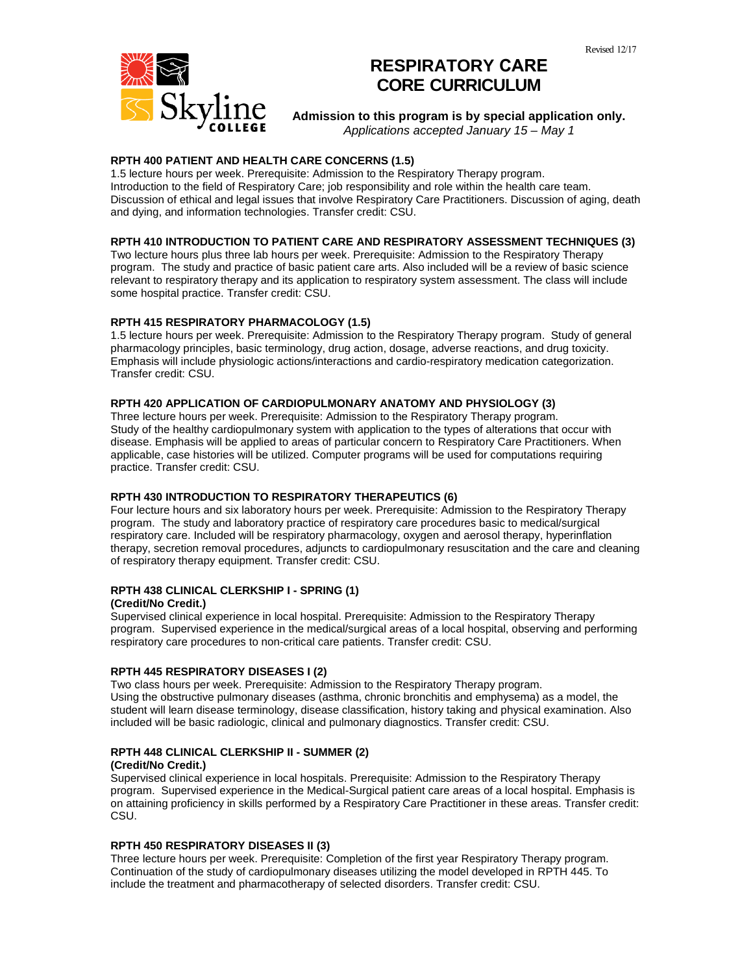

# **RESPIRATORY CARE CORE CURRICULUM**

**Admission to this program is by special application only.** *Applications accepted January 15 – May 1*

# **RPTH 400 PATIENT AND HEALTH CARE CONCERNS (1.5)**

1.5 lecture hours per week. Prerequisite: Admission to the Respiratory Therapy program. Introduction to the field of Respiratory Care; job responsibility and role within the health care team. Discussion of ethical and legal issues that involve Respiratory Care Practitioners. Discussion of aging, death and dying, and information technologies. Transfer credit: CSU.

# **RPTH 410 INTRODUCTION TO PATIENT CARE AND RESPIRATORY ASSESSMENT TECHNIQUES (3)**

Two lecture hours plus three lab hours per week. Prerequisite: Admission to the Respiratory Therapy program. The study and practice of basic patient care arts. Also included will be a review of basic science relevant to respiratory therapy and its application to respiratory system assessment. The class will include some hospital practice. Transfer credit: CSU.

# **RPTH 415 RESPIRATORY PHARMACOLOGY (1.5)**

1.5 lecture hours per week. Prerequisite: Admission to the Respiratory Therapy program. Study of general pharmacology principles, basic terminology, drug action, dosage, adverse reactions, and drug toxicity. Emphasis will include physiologic actions/interactions and cardio-respiratory medication categorization. Transfer credit: CSU.

# **RPTH 420 APPLICATION OF CARDIOPULMONARY ANATOMY AND PHYSIOLOGY (3)**

Three lecture hours per week. Prerequisite: Admission to the Respiratory Therapy program. Study of the healthy cardiopulmonary system with application to the types of alterations that occur with disease. Emphasis will be applied to areas of particular concern to Respiratory Care Practitioners. When applicable, case histories will be utilized. Computer programs will be used for computations requiring practice. Transfer credit: CSU.

# **RPTH 430 INTRODUCTION TO RESPIRATORY THERAPEUTICS (6)**

Four lecture hours and six laboratory hours per week. Prerequisite: Admission to the Respiratory Therapy program. The study and laboratory practice of respiratory care procedures basic to medical/surgical respiratory care. Included will be respiratory pharmacology, oxygen and aerosol therapy, hyperinflation therapy, secretion removal procedures, adjuncts to cardiopulmonary resuscitation and the care and cleaning of respiratory therapy equipment. Transfer credit: CSU.

# **RPTH 438 CLINICAL CLERKSHIP I - SPRING (1)**

#### **(Credit/No Credit.)**

Supervised clinical experience in local hospital. Prerequisite: Admission to the Respiratory Therapy program. Supervised experience in the medical/surgical areas of a local hospital, observing and performing respiratory care procedures to non-critical care patients. Transfer credit: CSU.

# **RPTH 445 RESPIRATORY DISEASES I (2)**

Two class hours per week. Prerequisite: Admission to the Respiratory Therapy program. Using the obstructive pulmonary diseases (asthma, chronic bronchitis and emphysema) as a model, the student will learn disease terminology, disease classification, history taking and physical examination. Also included will be basic radiologic, clinical and pulmonary diagnostics. Transfer credit: CSU.

#### **RPTH 448 CLINICAL CLERKSHIP II - SUMMER (2)**

#### **(Credit/No Credit.)**

Supervised clinical experience in local hospitals. Prerequisite: Admission to the Respiratory Therapy program. Supervised experience in the Medical-Surgical patient care areas of a local hospital. Emphasis is on attaining proficiency in skills performed by a Respiratory Care Practitioner in these areas. Transfer credit: CSU.

# **RPTH 450 RESPIRATORY DISEASES II (3)**

Three lecture hours per week. Prerequisite: Completion of the first year Respiratory Therapy program. Continuation of the study of cardiopulmonary diseases utilizing the model developed in RPTH 445. To include the treatment and pharmacotherapy of selected disorders. Transfer credit: CSU.